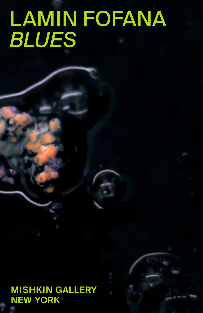# LAMIN FOFANA *BLUES*

## **MISHKIN GALLERY NEW YORK**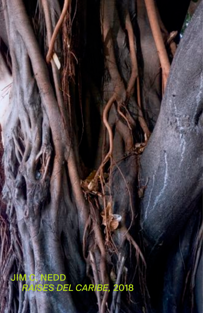ļ  JIM C. NEDD *RAISES DEL CARIBE,* 2018

ı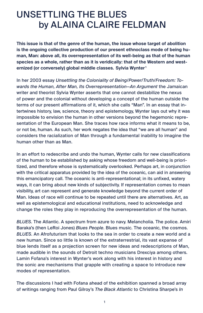### UNSETTLING THE BLUES by ALAINA CLAIRE FELDMAN

 **This issue is that of the genre of the human, the issue whose target of abolition man, Man: above all, its overrepresentation of its well-being as that of the human ernized (or conversely) global middle classes. Sylvia Wynter 1 is the ongoing collective production of our present ethnoclass mode of being huspecies as a whole, rather than as it is veridically: that of the Western and west-**

 In her 2003 essay *Unsettling the Coloniality of Being/Power/Truth/Freedom: To- wards the Human, After Man, Its Overrepresentation*—*An Argument* the Jamaican writer and theorist Sylvia Wynter asserts that one cannot destabilize the nexus of power and the colonial without developing a concept of the human outside the terms of our present affirmations of it, which she calls "Man". In an essay that in- tertwines history, law, science, theory and epistemology, Wynter lays out why it was impossible to envision the human in other versions beyond the hegemonic repre- sentation of the European Man. She traces how race informs what it means to be, or not be, human. As such, her work negates the idea that "we are all human" and considers the racialization of Man through a fundamental inability to imagine the human other than as Man.

 In an effort to redescribe and undo the human, Wynter calls for new classifications of the human to be established by asking whose freedom and well-being is priori- tized, and therefore whose is systematically overlooked. Perhaps art, in conjunction with the critical apparatus provided by the idea of the oceanic, can aid in answering this emancipatory call. The oceanic is anti-representational; in its unfixed, watery ways, it can bring about new kinds of subjectivity. If representation comes to mean visibility, art can represent and generate knowledge beyond the current order of Man. Ideas of race will continue to be repeated until there are alternatives. Art, as well as epistemological and educational institutions, need to acknowledge and change the roles they play in reproducing the overrepresentation of the human.

 *BLUES*. The Atlantic. A spectrum from azure to navy. Melancholia. The police. Amiri Baraka's (then LeRoi Jones) *Blues People*. Blues music. The oceanic, the cosmos. new human. Since so little is known of the extraterrestrial, its vast expanse of blue lends itself as a projection screen for new ideas and redescriptions of Man, made audible in the sounds of Detroit techno musicians Drexciya among others. Lamin Fofana's interest in Wynter's work along with his interest in history and the sonic are mechanisms that grapple with creating a space to introduce new modes of representation. *BLUES*. An Afrofuturism that looks to the sea in order to create a new world and a

 The discussions I had with Fofana ahead of the exhibition spanned a broad array of writings ranging from Paul Gilroy's *The Black Atlantic* to Christina Sharpe's *In*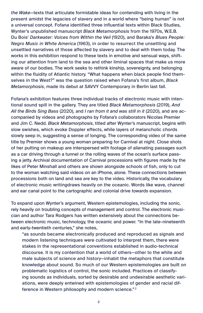*the Wake*—texts that articulate formidable ideas for contending with living in the present amidst the legacies of slavery and in a world where "being human" is not a universal concept. Fofana identified three influential texts within Black Studies, Wynter's unpublished manuscript *Black Metamorphosis* from the 1970s, W.E.B. Du Bois' *Darkwater: Voices from Within the Veil* (1920), and Baraka's *Blues People: Negro Music in White America* (1963), in order to resurrect the unsettling and unsettled narratives of those affected by slavery and to deal with them today. The works in this exhibition respond to these texts in emotive and sensual ways, shift- ing our attention from land to the sea and other liminal spaces that make us more aware of our bodies. The work seeks to rethink kinship, sovereignty, and belonging within the fluidity of Atlantic history. "What happens when black people find them- *Metamorphosis*, made its debut at SAVVY Contemporary in Berlin last fall. selves in the West?" was the question raised when Fofana's first album, *Black* 

 Fofana's exhibition features three individual tracks of electronic music with inten- tional sound spill in the gallery. They are titled *Black Metamorphosis* (2019), *And All the Birds Sing Bass* (2020), and *I ran from it and was still in it* (2020), and are ac- companied by videos and photographs by Fofana's collaborators Nicolas Premier slow swishes, which evoke Doppler effects, while layers of melancholic chords slowly seep in, suggesting a sense of longing. The corresponding video of the same title by Premier shows a young woman preparing for Carnival at night. Close shots of her putting on makeup are interspersed with footage of alienating passages such as a car driving through a tunnel or the rolling waves of the ocean's surface pass- ing a jetty. Archival documentation of Carnival processions with figures made by the likes of Peter Minshall and others are shown alongside schools of fish, only to cut processions both on land and sea are key to the video. Historically, the vocabulary of electronic music writingdraws heavily on the oceanic. Words like wave, channel and ear canal point to the cartographic and colonial drive towards expansion. and Jim C. Nedd. *Black Metamorphosis*, titled after Wynter's manuscript, begins with to the woman watching said videos on an iPhone, alone. These connections between

 To expand upon Wynter's argument, Western epistemologies, including the sonic, rely heavily on troubling concepts of management and control. The electronic musi- cian and author Tara Rodgers has written extensively about the connections be- tween electronic music, technology, the oceanic and power. "In the late-nineteenth and early-twentieth centuries," she notes,

 "as sounds became electronically produced and reproduced as signals and modern listening techniques were cultivated to interpret them, there were stakes in the representational conventions established in audio-technical discourse. It is my contention that a world of others—other to the white and male subjects of science and history—inhabit the metaphors that constitute knowledge about sound. So much of our Western epistemologies are built on problematic logistics of control, the sonic included. Practices of classify- ference in Western philosophy and modern science." 2 ing sounds as individuals, sorted by desirable and undesirable aesthetic variations, were deeply entwined with epistemologies of gender and racial dif-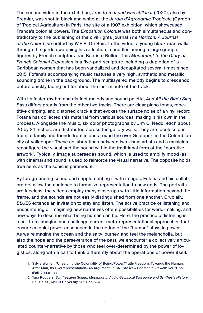The second video in the exhibition, *I ran from it and was still in it* (2020), also by Premier, was shot in black and white at the *Jardin d'Agronomie Tropicale* (Garden of Tropical Agriculture) in Paris, the site of a 1907 exhibition, which showcased  tradictory to the publishing of the civil rights journal *The Horizon: A Journal of the Color Line* edited by W.E.B. Du Bois. In the video, a young black man walks through the garden watching his reflection in puddles among a large group of figures by French sculptor Jean Baptiste Belloc. This *Monument to the Glory of French Colonial Expansion* is a five-part sculpture including a depiction of a Caribbean woman that has been vandalized and decapitated several times since 2015. Fofana's accompanying music features a very high, synthetic and metallic sounding drone in the background. The multilayered melody begins to crescendo before quickly fading out for about the last minute of the track. France's colonial powers. The *Exposition Colonial* was both simultaneous and con-

 With its faster rhythm and distinct melody and sound palette, *And All the Birds Sing Bass* differs greatly from the other two tracks. There are clear piano tones, repe- titive chirping, and distorted crackle that evokes the surface noise of a vinyl record. Fofana has collected this material from various sources, making it his own in the process. Alongside the music, six color photographs by Jim C. Nedd, each about traits of family and friends from in and around the river Guatapurì in the Colombian reconfigure the visual and the sound within the traditional form of the "narrative artwork". Typically, image supersedes sound, which is used to amplify mood (as with cinema) and sound is used to reinforce the visual narrative. The opposite holds true here, as the sonic is paramount. 20 by 24 inches, are distributed across the gallery walls. They are faceless porcity of Valledupar. These collaborations between two visual artists and a musician

 orators allow the audience to formalize representation to new ends. The portraits frame, and the sounds are not easily distinguished from one another. Crucially, *BLUES* extends an invitation to stay and listen. The active practice of listening and encountering or imagining new narratives offers possibilities for world-making, and new ways to describe what being human can be. Here, the practice of listening is a call to re-imagine and challenge current meta-representational approaches that ensure colonial power ensconced in the notion of the "human" stays in power. As we reimagine the ocean and the salty journey, and feel the melancholia, but lated counter-narrative by those who feel over-determined by the power of lo- gistics, along with a call to think differently about the operations of power itself. By foregrounding sound and supplementing it with images, Fofana and his collabare faceless, the videos employ many close-ups with little information beyond the also the hope and the perseverance of the past, we encounter a collectively articu-

<sup>1</sup>. Sylvia Wynter: "Unsettling the Coloniality of Being/Power/Truth/Freedom: Towards the Human, After Man, Its Overrepresentation—An Argument. In *CR: The New Centennial Review*, vol. 3, no. 3 (Fall, 2003): 313.

 2. Tara Rodgers: *Synthesizing Sound: Metaphor in Audio-Technical Discourse and Synthesis History*, Ph.D. diss., McGill University, 2010, pp. v-vi.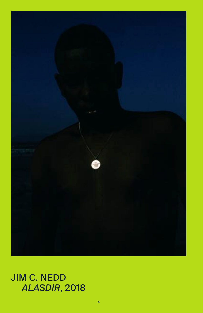

### JIM C. NEDD *ALASDIR*, 2018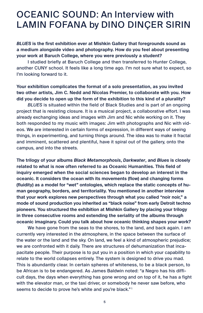### OCEANIC SOUND: An Interview with LAMIN FOFANA by DINO DINÇER SIRIN

 *BLUES* **is the first exhibition ever at Mishkin Gallery that foregrounds sound as a medium alongside video and photography. How do you feel about presenting your work at Baruch College, where you were previously a student?** 

 I studied briefly at Baruch College and then transferred to Hunter College, another CUNY school. It feels like a long time ago. I'm not sure what to expect, so I'm looking forward to it.

### **Your exhibition complicates the format of a solo presentation, as you invited two other artists, Jim C. Nedd and Nicolas Premier, to collaborate with you. How did you decide to open up the form of the exhibition to this kind of a plurality?**

 *BLUES* is situated within the field of Black Studies and is part of an ongoing project that is resisting closure. It is a musical project, a collaborative effort. I was already exchanging ideas and images with Jim and Nic while working on it. They both responded to my music with images: Jim with photographs and Nic with vid- eos. We are interested in certain forms of expression, in different ways of seeing things, in experimenting, and turning things around. The idea was to make it fractal and imminent, scattered and plentiful, have it spiral out of the gallery, onto the campus, and into the streets.

 **The trilogy of your albums** *Black Metamorphosis***,** *Darkwater***, and** *Blues* **is closely related to what is now often referred to as Oceanic Humanities. This field of inquiry emerged when the social sciences began to develop an interest in the oceanic. It considers the ocean with its movements (flow) and changing forms man geography, borders, and territoriality. You mentioned in another interview that your work explores new perspectives through what you called "noir noir," a in three consecutive rooms and extending the seriality of the albums through oceanic imaginary. Could you talk about how oceanic thinking shapes your work? (fluidity) as a model for "wet" ontologies, which replace the static concepts of humode of sound production you inherited as "black noise" from early Detroit techno pioneers. You structured the exhibition at Mishkin Gallery by placing your trilogy**

 currently very interested in the atmosphere, in the space between the surface of the water or the land and the sky. On land, we feel a kind of atmospheric prejudice; we are confronted with it daily. There are structures of dehumanization that inca- relate to the world collapses entirely. The system is designed to drive you mad. This is abundantly clear. In certain spheres of whiteness, to be a black person, to be African is to be endangered. As James Baldwin noted: "a Negro has his diffi- cult days, the days when everything has gone wrong and on top of it, he has a fight with the elevator man, or the taxi driver, or somebody he never saw before, who seems to decide to prove he's white and you're black."<sup>1</sup> We have gone from the seas to the shores, to the land, and back again. I am pacitate people. Their purpose is to put you in a position in which your capability to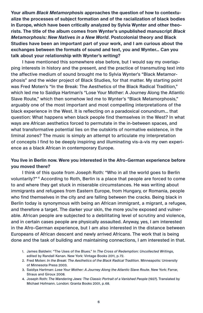<span id="page-7-0"></span> **Your album** *Black Metamorphosis* **approaches the question of how to contextu- alize the processes of subject formation and of the racialization of black bodies in Europe, which have been critically analyzed by Sylvia Wynter and other theo- rists. The title of the album comes from Wynter's unpublished manuscript** *Black*   *Metamorphosis: New Natives in a New World***. Postcolonial theory and Black Studies have been an important part of your work, and I am curious about the exchanges between the formats of sound and text, you and Wynter… Can you talk about your relationship with Wynter's writing?**

 I have mentioned this somewhere else before, but I would say my overlap- ping interests in history and the present, and the practice of transmuting text into the affective medium of sound brought me to Sylvia Wynter's "Black Metamor- phosis" and the wider project of Black Studies, for that matter. My starting point was Fred Moten's "In the Break: The Aesthetics of the Black Radical Tradition," which led me to Saidiya Hartman's "Lose Your Mother: A Journey Along the Atlantic Slave Route," which then somehow led me to Wynter's "Black Metamorphosis," arguably one of the most important and most compelling interpretations of the black experience in the West. It is reflecting on a paradoxical conundrum… that question: What happens when black people find themselves in the West? In what ways are African aesthetics forced to permutate in the in-between spaces, and what transformative potential lies on the outskirts of normative existence, in the liminal zones? The music is simply an attempt to articulate my interpretation of concepts I find to be deeply inspiring and illuminating vis-à-vis my own experi-ence as a black African in contemporary Europe.

#### **You live in Berlin now. Were you interested in the Afro-German experience before you moved there?**

 voluntarily?" 4 According to Roth, Berlin is a place that people are forced to come to and where they get stuck in miserable circumstances. He was writing about immigrants and refugees from Eastern Europe, from Hungary, or Romania, people who find themselves in the city and are falling between the cracks. Being black in Berlin today is synonymous with being an African immigrant, a migrant, a refugee, and therefore a target. The darker your skin, the more you're exposed and vulner- able. African people are subjected to a debilitating level of scrutiny and violence, and in certain cases people are physically assaulted. Anyway, yes, I am interested in the Afro-German experience, but I am also interested in the distance between Europeans of African descent and newly arrived Africans. The work that is being I think of this quote from Joseph Roth: "Who in all the world goes to Berlin done and the task of building and maintaining connections, I am interested in that.

- 1. James Baldwin: "The Uses of the Blues." In *The Cross of Redemption: Uncollected Writings*, edited by Randall Kenan. New York: Vintage Books 2011, p. 72.
- 2. Fred Moten: *In the Break: The Aesthetics of the Black Radical Tradition*. Minneapolis: University of Minnesota Press 2003.
- 3. Saidiya Hartman: *Lose Your Mother: A Journey Along the Atlantic Slave Route*. New York: Farrar, Straus and Giroux 2008.
- 4. Joseph Roth: *The Wandering Jews: The Classic Portrait of a Vanished People* (1927). Translated by Michael Hofmann. London: Granta Books 2001, p.68.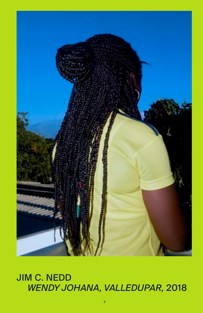

 JIM C. NEDD  *WENDY JOHANA, VALLEDUPAR,* 2018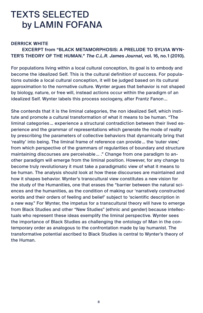### TEXTS SELECTED by LAMIN FOFANA

#### **DERRICK WHITE**

### **EXCERPT from "BLACK METAMORPHOSIS: A PRELUDE TO SYLVIA WYN- TER'S THEORY OF THE HUMAN."** *The C.L.R. James Journal***, vol. 16, no.1 (2010).**

 For populations living within a local cultural conception, its goal is to embody and become the idealized Self. This is the cultural definition of success. For popula- tions outside a local cultural conception, it will be judged based on its cultural approximation to the normative culture. Wynter argues that behavior is not shaped by biology, nature, or free will, instead actions occur within the paradigm of an idealized Self. Wynter labels this process sociogeny, after Frantz Fanon …

 tute and promote a cultural transformation of what it means to be human. "The perience and the grammar of representations which generate the mode of reality by prescribing the parameters of collective behaviors that dynamically bring that 'reality' into being. The liminal frame of reference can provide … the 'outer view,' maintaining discourses are perceivable … ." Change from one paradigm to an- other paradigm will emerge from the liminal position. However, for any change to become truly revolutionary it must take a paradigmatic view of what it means to be human. The analysis should look at how these discourses are maintained and how it shapes behavior. Wynter's transcultural view constitutes a new vision for the study of the Humanities, one that erases the "barrier between the natural sci- ences and the humanities, as the condition of making our 'narratively constructed worlds and their orders of feeling and belief' subject to 'scientific description in a new way." For Wynter, the impetus for a transcultural theory will have to emerge tuals who represent these ideas exemplify the liminal perspective. Wynter sees the importance of Black Studies as challenging the ontology of Man in the con- temporary order as analogous to the confrontation made by lay humanist. The transformative potential ascribed to Black Studies is central to Wynter's theory of She contends that it is the liminal categories, the non idealized Self, which instiliminal categories … experience a structural contradiction between their lived exfrom which perspective of the grammars of regularities of boundary and structure from Black Studies and other "New Studies" (ethnic and gender) because intellecthe Human.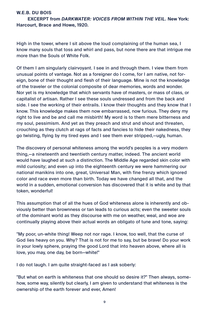### **W.E.B. DU BOIS**

 **EXCERPT from** *DARKWATER: VOICES FROM WITHIN THE VEIL***. New York: Harcourt, Brace and Howe, 1920.** 

 High in the tower, where I sit above the loud complaining of the human sea, I know many souls that toss and whirl and pass, but none there are that intrigue me more than the Souls of White Folk.

 Of them I am singularly clairvoyant. I see in and through them. I view them from eign, bone of their thought and flesh of their language. Mine is not the knowledge of the traveler or the colonial composite of dear memories, words and wonder. Nor yet is my knowledge that which servants have of masters, or mass of class, or capitalist of artisan. Rather I see these souls undressed and from the back and side. I see the working of their entrails. I know their thoughts and they know that I know. This knowledge makes them now embarrassed, now furious. They deny my right to live and be and call me misbirth! My word is to them mere bitterness and my soul, pessimism. And yet as they preach and strut and shout and threaten, crouching as they clutch at rags of facts and fancies to hide their nakedness, they unusual points of vantage. Not as a foreigner do I come, for I am native, not forgo twisting, flying by my tired eyes and I see them ever stripped,—ugly, human.

 The discovery of personal whiteness among the world's peoples is a very modern thing,—a nineteenth and twentieth century matter, indeed. The ancient world would have laughed at such a distinction. The Middle Age regarded skin color with color and race even more than birth. Today we have changed all that, and the world in a sudden, emotional conversion has discovered that it is white and by that mild curiosity; and even up into the eighteenth century we were hammering our national manikins into one, great, Universal Man, with fine frenzy which ignored token, wonderful!

 viously better than brownness or tan leads to curious acts; even the sweeter souls of the dominant world as they discourse with me on weather, weal, and woe are continually playing above their actual words an obligato of tune and tone, saying: This assumption that of all the hues of God whiteness alone is inherently and ob-

 "My poor, un-white thing! Weep not nor rage. I know, too well, that the curse of God lies heavy on you. Why? That is not for me to say, but be brave! Do your work in your lowly sphere, praying the good Lord that into heaven above, where all is love, you may, one day, be born—white!"

I do not laugh. I am quite straight-faced as I ask soberly:

 how, some way, silently but clearly, I am given to understand that whiteness is the ownership of the earth forever and ever, Amen! "But what on earth is whiteness that one should so desire it?" Then always, some-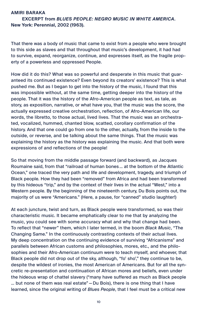### **AMIRI BARAKA**

 **EXCERPT from** *BLUES PEOPLE: NEGRO MUSIC IN WHITE AMERICA***. New York: Perennial, 2002 (1963).** 

 That there was a body of music that came to exist from a people who were brought to this side as slaves and that throughout that music's development, it had had to survive, expand, reorganize, continue, and expresses itself, as the fragile prop-erty of a powerless and oppressed People.

 How did it do this? What was so powerful and desperate in this music that guar- anteed its continued existence? Even beyond its creators' existence? This is what pushed me. But as I began to get into the history of the music, I found that this was impossible without, at the same time, getting deeper into the history of the people. That it was the history of the Afro-American people as text, as tale, as story, as exposition, narrative, or what have you, that the music was the score, the actually expressed creative orchestration, reflection, of Afro-American life, our words, the libretto, to those actual, lived lives. That the music was an orchestra- ted, vocalized, hummed, chanted blow, scatted, corollary confirmation of the history. And that one could go from one to the other, actually, from the inside to the outside, or reverse, and be talking about the same things. That the music was explaining the history as the history was explaining the music. And that both were expressions of and reflections of the people!

 So that moving from the middle passage forward (and backward), as Jacques Roumaine said, from that "railroad of human bones … at the bottom of the Atlantic Ocean," one traced the very path and life and development, tragedy, and triumph of Black people. How they had been "removed" from Africa and had been transformed by this hideous "trip," and by the context of their lives in the actual "West," into a Western people. By the beginning of the nineteenth century, Du Bois points out, the majority of us were "Americans." (Here, a pause, for "canned" studio laughter!)

 At each juncture, twist and turn, as Black people were transformed, so was their characteristic music. It became emphatically clear to me that by analyzing the To reflect that "newer" them, which I later termed, in the boom *Black Music*, "The Changing Same." In the continuously contrasting contexts of their actual lives. My deep concentration on the continuing evidence of surviving "Africanisms" and Black people did not drop out of the sky, although, "fo' sho'," they continue to be, cretic re-presentation and continuation of African mores and beliefs, even under the hideous wrap of chattel slavery ("many have suffered as much as Black people … but none of them was real estate" — Du Bois), there is one thing that I have learned, since the original writing of *Blues People*, that I feel must be a critical new music, you could see with some accuracy what and why that change had been. parallels between African customs and philosophies, mores, etc., and the philosophies and their Afro-American continuum were to teach myself, and whoever, that despite the wildest of ironies, the most American of Americans. But for all the syn-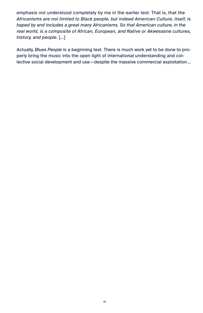*Africanisms are not limited to Black people, but indeed American Culture, itself, is haped by and includes a great many Africanisms. So that American culture, in the real world, is a composite of African, European, and Native or Akwesasne cultures,*  emphasis not understood completely by me in the earlier text. That is, that *the history, and people.* [...]

 perly bring the music into the open light of international understanding and col- lective social development and use—despite the massive commercial exploitation ... Actually, *Blues People* is a beginning text. There is much work yet to be done to pro-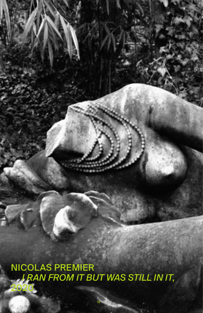NICOLAS PREMIER  *I RAN FROM IT BUT WAS STILL IN IT*, 2020

12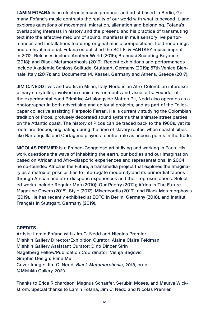**LAMIN FOFANA** is an electronic music producer and artist based in Berlin, Germany. Fofana's music contrasts the reality of our world with what is beyond it, and explores questions of movement, migration, alienation and belonging. Fofana's overlapping interests in history and the present, and his practice of transmuting text into the affective medium of sound, manifests in multisensory live performances and installations featuring original music compositions, field recordings and archival material. Fofana established the SCI-FI & FANTASY music imprint in 2012. Releases include Another World (2015); Brancusi Sculpting Beyonce (2018); and Black Metamorphosis (2019). Recent exhibitions and performances include Akademie Schloss Solitude, Stuttgart, Germany (2019); 57th Venice Biennale, Italy (2017); and Documenta 14, Kassel, Germany and Athens, Greece (2017).

**JIM C. NEDD** lives and works in Milan, Italy. Nedd is an Afro-Colombian interdisciplinary storyteller, involved in sonic environments and visual arts. Founder of the experimental band Primitive Art alongside Matteo Pit, Nedd also operates as a photographer in both advertising and editorial projects, and as part of the Toiletpaper collective assisting Pierpaolo Ferrari. He is currently studying the Colombian tradition of Picós, profusely decorated sound systems that animate street parties on the Atlantic coast. The history of Picós can be traced back to the 1960s, yet its roots are deeper, originating during the time of slavery routes, when coastal cities like Barranquilla and Cartagena played a central role as access points in the trade.

**NICOLAS PREMIER** is a Franco-Congolese artist living and working in Paris. His work questions the ways of inhabiting the earth, our bodies and our imagination based on African and Afro-diasporic experiences and representations. In 2004 he co-founded Africa is the Future, a transmedia project that explores the Imaginary as a matrix of possibilities to interrogate modernity and its primordial taboos through African and afro-diasporic experiences and their representations. Selected works include Regular Man (2010); Our Poetry (2012); Africa Is The Future Magazine Covers (2015); Style (2017); Misericordia (2019); and Black Metamorphosis (2019). He has recently exhibited at EOTO in Berlin, Germany (2018), and Institut Français in Stuttgart, Germany (2019).

#### **CREDITS**

Artists: Lamin Fofana with Jim C. Nedd and Nicolas Premier Mishkin Gallery Director/Exhibition Curator: Alaina Claire Feldman Mishkin Gallery Assistant Curator: Dino Dinçer Sirin Nagelberg Fellow/Publication Coordinator: Višnja Begović Graphic Design: Eline Mul Cover Image: Jim C. Nedd, *Black Metamorphosis*, 2018, crop © Mishkin Gallery, 2020

Thanks to Erica Richardson, Magnus Schaefer, Serubiri Moses, and Maurya Wickstrom. Special thanks to Lamin Fofana, Jim C. Nedd and Nicolas Premier.